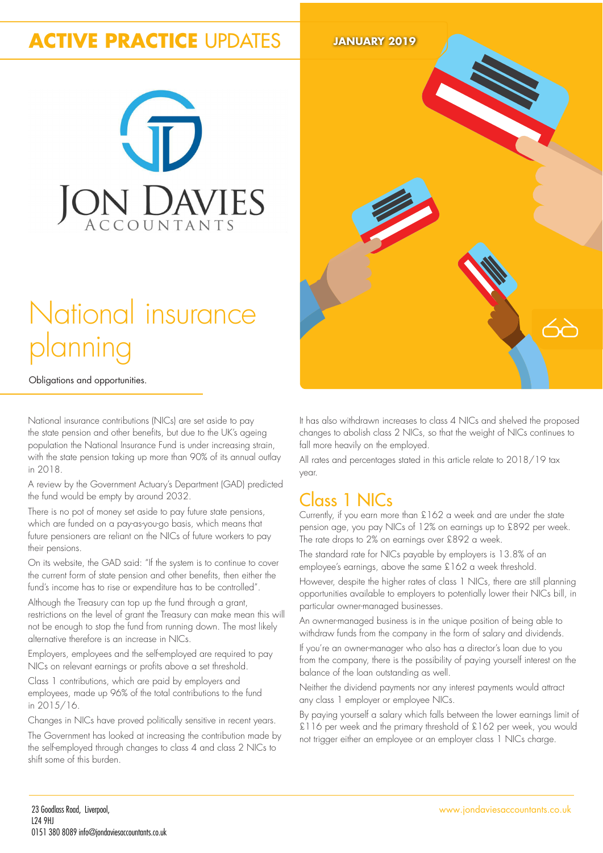# **ACTIVE PRACTICE** UPDATES **JANUARY 2019**



# National insurance planning

Obligations and opportunities.

National insurance contributions (NICs) are set aside to pay the state pension and other benefits, but due to the UK's ageing population the National Insurance Fund is under increasing strain, with the state pension taking up more than 90% of its annual outlay in 2018.

A review by the Government Actuary's Department (GAD) predicted the fund would be empty by around 2032.

There is no pot of money set aside to pay future state pensions, which are funded on a pay-as-you-go basis, which means that future pensioners are reliant on the NICs of future workers to pay their pensions.

On its website, the GAD said: "If the system is to continue to cover the current form of state pension and other beneits, then either the fund's income has to rise or expenditure has to be controlled".

Although the Treasury can top up the fund through a grant, restrictions on the level of grant the Treasury can make mean this will not be enough to stop the fund from running down. The most likely alternative therefore is an increase in NICs.

Employers, employees and the self-employed are required to pay NICs on relevant earnings or profits above a set threshold.

Class 1 contributions, which are paid by employers and employees, made up 96% of the total contributions to the fund in 2015/16.

Changes in NICs have proved politically sensitive in recent years.

The Government has looked at increasing the contribution made by the self-employed through changes to class 4 and class 2 NICs to shift some of this burden.



It has also withdrawn increases to class 4 NICs and shelved the proposed changes to abolish class 2 NICs, so that the weight of NICs continues to fall more heavily on the employed.

All rates and percentages stated in this article relate to 2018/19 tax year.

## Class 1 NICs

Currently, if you earn more than £162 a week and are under the state pension age, you pay NICs of 12% on earnings up to £892 per week. The rate drops to 2% on earnings over £892 a week.

The standard rate for NICs payable by employers is 13.8% of an employee's earnings, above the same £162 a week threshold.

However, despite the higher rates of class 1 NICs, there are still planning opportunities available to employers to potentially lower their NICs bill, in particular owner-managed businesses.

An owner-managed business is in the unique position of being able to withdraw funds from the company in the form of salary and dividends.

If you're an owner-manager who also has a director's loan due to you from the company, there is the possibility of paying yourself interest on the balance of the loan outstanding as well.

Neither the dividend payments nor any interest payments would attract any class 1 employer or employee NICs.

By paying yourself a salary which falls between the lower earnings limit of £116 per week and the primary threshold of £162 per week, you would not trigger either an employee or an employer class 1 NICs charge.